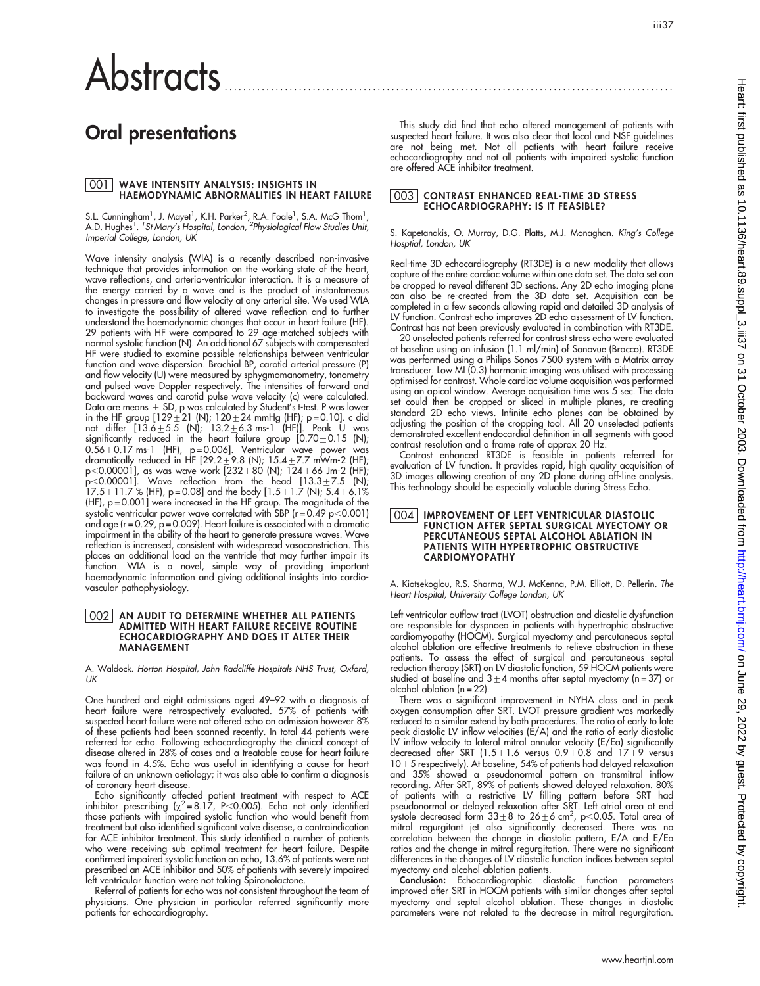# **Abstracts**

# Oral presentations

# <u>001 |</u> WAVE INTENSITY ANALYSIS: INSIGHTS IN<br>HAEMODYNAMIC ABNORMALITIES IN HEART FAILURE

S.L. Cunningham<sup>1</sup>, J. Mayet<sup>1</sup>, K.H. Parker<sup>2</sup>, R.A. Foale<sup>1</sup>, S.A. McG Thom<sup>1</sup>, A.D. Hughes<sup>1</sup>. <sup>1</sup>St Mary's Hospital, London, <sup>2</sup>Physiological Flow Studies Unit, Imperial College, London, UK

Wave intensity analysis (WIA) is a recently described non-invasive technique that provides information on the working state of the heart, wave reflections, and arterio-ventricular interaction. It is a measure of the energy carried by a wave and is the product of instantaneous changes in pressure and flow velocity at any arterial site. We used WIA to investigate the possibility of altered wave reflection and to further understand the haemodynamic changes that occur in heart failure (HF). 29 patients with HF were compared to 29 age-matched subjects with normal systolic function (N). An additional 67 subjects with compensated HF were studied to examine possible relationships between ventricular function and wave dispersion. Brachial BP, carotid arterial pressure (P) and flow velocity (U) were measured by sphygmomanometry, tonometry and pulsed wave Doppler respectively. The intensities of forward and backward waves and carotid pulse wave velocity (c) were calculated. Data are means  $\pm$  SD, p was calculated by Student's t-test. P was lower in the HF group  $[129 \pm 21$  (N);  $120 \pm 24$  mmHg (HF); p=0.10]. c did not differ [13.6 $\pm$ 5.5 (N); 13.2 $\pm$ 6.3 ms-1 (HF)]. Peak U was significantly reduced in the heart failure group  $[0.70 \pm 0.15$  (N);  $0.56\pm0.17$  ms-1 (HF), p=0.006]. Ventricular wave power was dramatically reduced in HF [29.2 $\pm$ 9.8 (N); 15.4 $\pm$ 7.7 mWm-2 (HF); p<0.00001], as was wave work [232 $\pm$ 80 (N); 124 $\pm$ 66 Jm-2 (HF);  ${\sf p}{<}$ 0.00001]. Wave reflection from the head [13.3 ${\pm}$ 7.5 (N); 17.5 $\pm$ 11.7 % (HF), p=0.08] and the body [1.5 $\pm$ 1.7 (N); 5.4 $\pm$ 6.1% (HF), p = 0.001] were increased in the HF group. The magnitude of the systolic ventricular power wave correlated with SBP (r=0.49 p<0.001) and age (r = 0.29, p = 0.009). Heart failure is associated with a dramatic impairment in the ability of the heart to generate pressure waves. Wave reflection is increased, consistent with widespread vasoconstriction. This places an additional load on the ventricle that may further impair its function. WIA is a novel, simple way of providing important haemodynamic information and giving additional insights into cardiovascular pathophysiology.

## 002 | AN AUDIT TO DETERMINE WHETHER ALL PATIENTS<br>ADMITTED WITH HEART FAILURE RECEIVE ROUTINE ECHOCARDIOGRAPHY AND DOES IT ALTER THEIR MANAGEMENT

A. Waldock. Horton Hospital, John Radcliffe Hospitals NHS Trust, Oxford,  $\overline{U}$ K

One hundred and eight admissions aged 49–92 with a diagnosis of heart failure were retrospectively evaluated. 57% of patients with suspected heart failure were not offered echo on admission however 8% of these patients had been scanned recently. In total 44 patients were referred for echo. Following echocardiography the clinical concept of disease altered in 28% of cases and a treatable cause for heart failure was found in 4.5%. Echo was useful in identifying a cause for heart failure of an unknown aetiology; it was also able to confirm a diagnosis of coronary heart disease.

Echo significantly affected patient treatment with respect to ACE<br>inhibitor prescribing ( $\chi^2$ =8.17, P<0.005). Echo not only identified those patients with impaired systolic function who would benefit from treatment but also identified significant valve disease, a contraindication for ACE inhibitor treatment. This study identified a number of patients who were receiving sub optimal treatment for heart failure. Despite confirmed impaired systolic function on echo, 13.6% of patients were not prescribed an ACE inhibitor and 50% of patients with severely impaired left ventricular function were not taking Spironolactone.

Referral of patients for echo was not consistent throughout the team of physicians. One physician in particular referred significantly more patients for echocardiography.

This study did find that echo altered management of patients with suspected heart failure. It was also clear that local and NSF guidelines are not being met. Not all patients with heart failure receive echocardiography and not all patients with impaired systolic function are offered ACE inhibitor treatment.

#### 003 CONTRAST ENHANCED REAL-TIME 3D STRESS ECHOCARDIOGRAPHY: IS IT FEASIBLE?

S. Kapetanakis, O. Murray, D.G. Platts, M.J. Monaghan. King's College Hosptial, London, UK

Real-time 3D echocardiography (RT3DE) is a new modality that allows capture of the entire cardiac volume within one data set. The data set can be cropped to reveal different 3D sections. Any 2D echo imaging plane can also be re-created from the 3D data set. Acquisition can be completed in a few seconds allowing rapid and detailed 3D analysis of LV function. Contrast echo improves 2D echo assessment of LV function. Contrast has not been previously evaluated in combination with RT3DE.

20 unselected patients referred for contrast stress echo were evaluated at baseline using an infusion (1.1 ml/min) of Sonovue (Bracco). RT3DE was performed using a Philips Sonos 7500 system with a Matrix array transducer. Low MI (0.3) harmonic imaging was utilised with processing optimised for contrast. Whole cardiac volume acquisition was performed using an apical window. Average acquisition time was 5 sec. The data set could then be cropped or sliced in multiple planes, re-creating standard 2D echo views. Infinite echo planes can be obtained by adjusting the position of the cropping tool. All 20 unselected patients demonstrated excellent endocardial definition in all segments with good contrast resolution and a frame rate of approx 20 Hz.

Contrast enhanced RT3DE is feasible in patients referred for evaluation of LV function. It provides rapid, high quality acquisition of 3D images allowing creation of any 2D plane during off-line analysis. This technology should be especially valuable during Stress Echo.

#### 004 IMPROVEMENT OF LEFT VENTRICULAR DIASTOLIC FUNCTION AFTER SEPTAL SURGICAL MYECTOMY OR PERCUTANEOUS SEPTAL ALCOHOL ABLATION IN PATIENTS WITH HYPERTROPHIC OBSTRUCTIVE CARDIOMYOPATHY

A. Kiotsekoglou, R.S. Sharma, W.J. McKenna, P.M. Elliott, D. Pellerin. The Heart Hospital, University College London, UK

Left ventricular outflow tract (LVOT) obstruction and diastolic dysfunction are responsible for dyspnoea in patients with hypertrophic obstructive cardiomyopathy (HOCM). Surgical myectomy and percutaneous septal alcohol ablation are effective treatments to relieve obstruction in these patients. To assess the effect of surgical and percutaneous septal reduction therapy (SRT) on LV diastolic function, 59 HOCM patients were studied at baseline and  $3 \pm 4$  months after septal myectomy (n = 37) or alcohol ablation (n = 22).

There was a significant improvement in NYHA class and in peak oxygen consumption after SRT. LVOT pressure gradient was markedly reduced to a similar extend by both procedures. The ratio of early to late peak diastolic LV inflow velocities (E/A) and the ratio of early diastolic LV intlow velocity to lateral mitral annular velocity (E/Ea) signiticantly<br>decreased after SRT (1.5±1.6 versus 0.9±0.8 and 17±9 versus  $10 + 5$  respectively). At baseline, 54% of patients had delayed relaxation and 35% showed a pseudonormal pattern on transmitral inflow recording. After SRT, 89% of patients showed delayed relaxation. 80% of patients with a restrictive LV filling pattern before SRT had pseudonormal or delayed relaxation after SRT. Left atrial area at end systole decreased form  $33\pm8$  to  $26\pm6$  cm<sup>2</sup>, p<0.05. Total area of mitral regurgitant jet also significantly decreased. There was no correlation between the change in diastolic pattern, E/A and E/Ea ratios and the change in mitral regurgitation. There were no significant differences in the changes of LV diastolic function indices between septal myectomy and alcohol ablation patients.

Conclusion: Echocardiographic diastolic function parameters improved after SRT in HOCM patients with similar changes after septal myectomy and septal alcohol ablation. These changes in diastolic parameters were not related to the decrease in mitral regurgitation.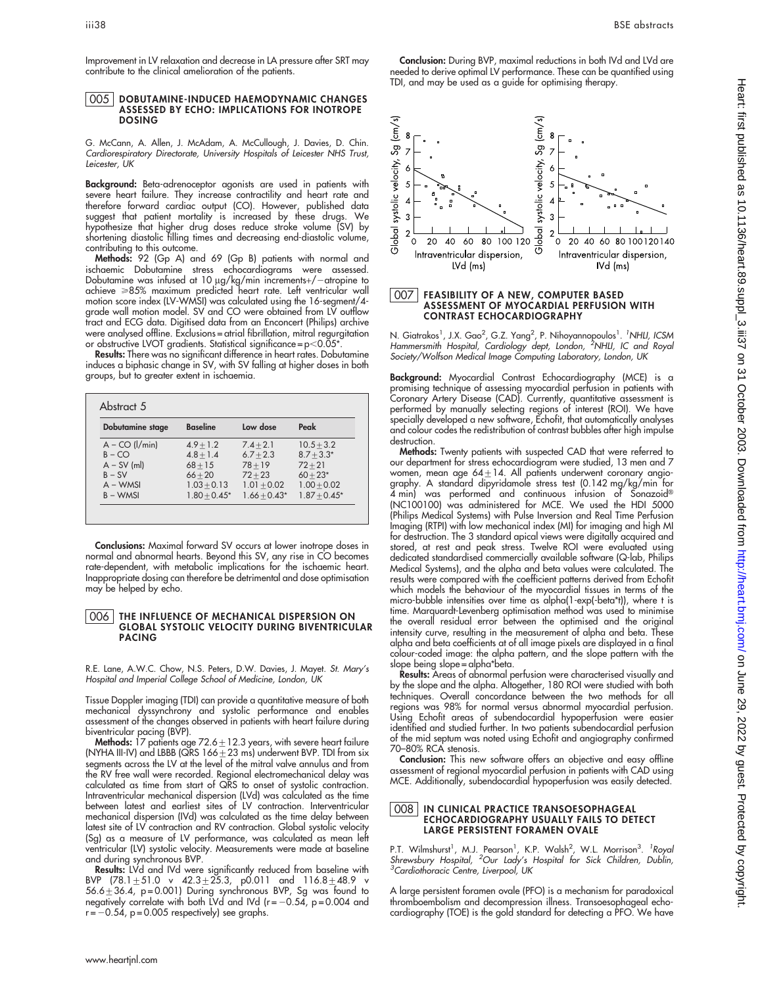Improvement in LV relaxation and decrease in LA pressure after SRT may contribute to the clinical amelioration of the patients.

#### 005 DOBUTAMINE-INDUCED HAEMODYNAMIC CHANGES ASSESSED BY ECHO: IMPLICATIONS FOR INOTROPE DOSING

G. McCann, A. Allen, J. McAdam, A. McCullough, J. Davies, D. Chin. Cardiorespiratory Directorate, University Hospitals of Leicester NHS Trust, Leicester, UK

**Background:** Beta-adrenoceptor agonists are used in patients with severe heart failure. They increase contractility and heart rate and therefore forward cardiac output (CO). However, published data suggest that patient mortality is increased by these drugs. We hypothesize that higher drug doses reduce stroke volume (SV) by shortening diastolic filling times and decreasing end-diastolic volume, contributing to this outcome.

Methods: 92 (Gp A) and 69 (Gp B) patients with normal and ischaemic Dobutamine stress echocardiograms were assessed. Dobutamine was intused at 10 µg/kg/min increments+/-atropine to achieve >85% maximum predicted heart rate. Left ventricular wall motion score index (LV-WMSI) was calculated using the 16-segment/4 grade wall motion model. SV and CO were obtained from LV outflow tract and ECG data. Digitised data from an Enconcert (Philips) archive were analysed offline. Exclusions = atrial fibrillation, mitral regurgitation or obstructive LVOT gradients. Statistical significance =  $p$  < 0.05\*

Results: There was no significant difference in heart rates. Dobutamine induces a biphasic change in SV, with SV falling at higher doses in both groups, but to greater extent in ischaemia.

| Dobutamine stage     | <b>Baseline</b> | Low dose       | Peak           |
|----------------------|-----------------|----------------|----------------|
| $A - CO$ ( $I/min$ ) | $4.9 + 1.2$     | $7.4 + 2.1$    | $10.5 + 3.2$   |
| $B - CO$             | $4.8 + 1.4$     | $6.7 + 2.3$    | $8.7 + 3.3*$   |
| $A - SV$ (ml)        | $68 + 15$       | $78 + 19$      | $72 + 21$      |
| $B - SV$             | $66 + 20$       | $72 + 23$      | $60 + 23*$     |
| $A - WMSI$           | $1.03 + 0.13$   | $1.01 + 0.02$  | $1.00 + 0.02$  |
| $B - WMSI$           | $1.80 + 0.45*$  | $1.66 + 0.43*$ | $1.87 + 0.45*$ |

Conclusions: Maximal forward SV occurs at lower inotrope doses in normal and abnormal hearts. Beyond this SV, any rise in CO becomes rate-dependent, with metabolic implications for the ischaemic heart. Inappropriate dosing can therefore be detrimental and dose optimisation may be helped by echo.

#### 006 THE INFLUENCE OF MECHANICAL DISPERSION ON GLOBAL SYSTOLIC VELOCITY DURING BIVENTRICULAR PACING

R.E. Lane, A.W.C. Chow, N.S. Peters, D.W. Davies, J. Mayet. St. Mary's Hospital and Imperial College School of Medicine, London, UK

Tissue Doppler imaging (TDI) can provide a quantitative measure of both mechanical dyssynchrony and systolic performance and enables assessment of the changes observed in patients with heart failure during

biventricular pacing (BVP).<br>**Methods:** 17 patients age 72.6±12.3 years, with severe heart failure (NYHA III-IV) and LBBB (QRS  $166 \pm 23$  ms) underwent BVP. TDI from six segments across the LV at the level of the mitral valve annulus and from the RV free wall were recorded. Regional electromechanical delay was calculated as time from start of QRS to onset of systolic contraction. Intraventricular mechanical dispersion (LVd) was calculated as the time between latest and earliest sites of LV contraction. Interventricular mechanical dispersion (IVd) was calculated as the time delay between latest site of LV contraction and RV contraction. Global systolic velocity (Sg) as a measure of LV performance, was calculated as mean left ventricular (LV) systolic velocity. Measurements were made at baseline and during synchronous BVP.

Results: LVd and IVd were significantly reduced from baseline with BVP (78.1 $\pm$ 51.0 v 42.3 $\pm$ 25.3, p0.011 and 116.8 $\pm$ 48.9 v 56.6 $\pm$ 36.4, p=0.001) During synchronous BVP, Sg was found to negatively correlate with both LVd and IVd (r= $-0.54$ , p=0.004 and  $-0.54$ , p = 0.005 respectively) see graphs.

Conclusion: During BVP, maximal reductions in both IVd and LVd are needed to derive optimal LV performance. These can be quantified using TDI, and may be used as a guide for optimising therapy.



## 007 FEASIBILITY OF A NEW, COMPUTER BASED ASSESSMENT OF MYOCARDIAL PERFUSION WITH CONTRAST ECHOCARDIOGRAPHY

N. Giatrakos<sup>1</sup>, J.X. Gao<sup>2</sup>, G.Z. Yang<sup>2</sup>, P. Nihoyannopoulos<sup>1</sup>. <sup>'</sup>NHLI, ICSM<br>Hammersmith Hospital, Cardiology dept, London, <sup>2</sup>NHLI, IC and Roya Society/Wolfson Medical Image Computing Laboratory, London, UK

Background: Myocardial Contrast Echocardiography (MCE) is a promising technique of assessing myocardial perfusion in patients with Coronary Artery Disease (CAD). Currently, quantitative assessment is performed by manually selecting regions of interest (ROI). We have specially developed a new software, Echofit, that automatically analyses and colour codes the redistribution of contrast bubbles after high impulse destruction.

Methods: Twenty patients with suspected CAD that were referred to our department for stress echocardiogram were studied, 13 men and 7 women, mean age 64 $\pm$ 14. All patients underwent coronary angiography. A standard dipyridamole stress test (0.142 mg/kg/min for 4 min) was pertormed and continuous intusion ot Sonazoid® (NC100100) was administered for MCE. We used the HDI 5000 (Philips Medical Systems) with Pulse Inversion and Real Time Perfusion Imaging (RTPI) with low mechanical index (MI) for imaging and high MI for destruction. The 3 standard apical views were digitally acquired and stored, at rest and peak stress. Twelve ROI were evaluated using dedicated standardised commercially available software (Q-lab, Philips Medical Systems), and the alpha and beta values were calculated. The results were compared with the coefficient patterns derived from Echofit which models the behaviour of the myocardial tissues in terms of the micro-bubble intensities over time as alpha(1-exp(-beta\*t)), where t is time. Marquardt-Levenberg optimisation method was used to minimise the overall residual error between the optimised and the original intensity curve, resulting in the measurement of alpha and beta. These alpha and beta coefficients at of all image pixels are displayed in a final colour-coded image: the alpha pattern, and the slope pattern with the slope being slope = alpha\*beta.

Results: Areas of abnormal perfusion were characterised visually and by the slope and the alpha. Altogether, 180 ROI were studied with both techniques. Overall concordance between the two methods for all regions was 98% for normal versus abnormal myocardial perfusion. Using Echofit areas of subendocardial hypoperfusion were easier identified and studied further. In two patients subendocardial perfusion of the mid septum was noted using Echofit and angiography confirmed 70–80% RCA stenosis.

Conclusion: This new software offers an objective and easy offline assessment of regional myocardial perfusion in patients with CAD using MCE. Additionally, subendocardial hypoperfusion was easily detected.

#### 008 IN CLINICAL PRACTICE TRANSOESOPHAGEAL ECHOCARDIOGRAPHY USUALLY FAILS TO DETECT LARGE PERSISTENT FORAMEN OVALE

P.T. Wilmshurst<sup>1</sup>, M.J. Pearson<sup>1</sup>, K.P. Walsh<sup>2</sup>, W.L. Morrison<sup>3</sup>. <sup>1</sup>Roya.<br>*Shrewsbury Hospital, <sup>2</sup>Our Lady's Hospital for Sick Children, Dublin,*<br><sup>3</sup>Cardiothoracic Centre, Liverpool, UK

A large persistent foramen ovale (PFO) is a mechanism for paradoxical thromboembolism and decompression illness. Transoesophageal echocardiography (TOE) is the gold standard for detecting a PFO. We have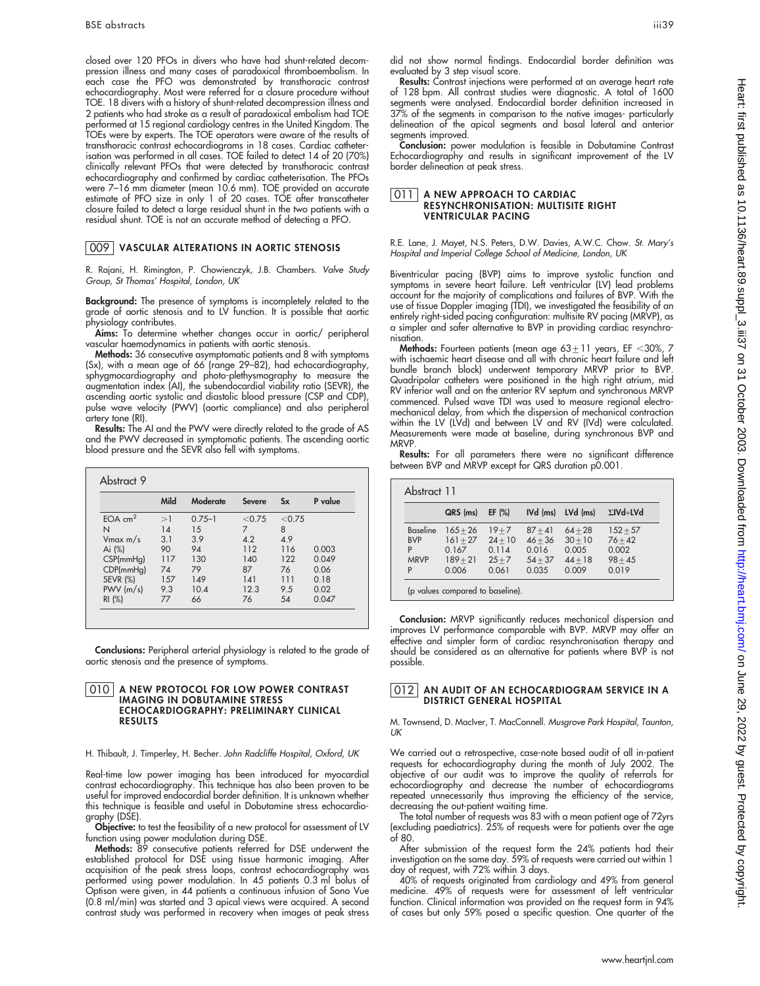closed over 120 PFOs in divers who have had shunt-related decompression illness and many cases of paradoxical thromboembolism. In each case the PFO was demonstrated by transthoracic contrast echocardiography. Most were referred for a closure procedure without TOE. 18 divers with a history of shunt-related decompression illness and 2 patients who had stroke as a result of paradoxical embolism had TOE performed at 15 regional cardiology centres in the United Kingdom. The TOEs were by experts. The TOE operators were aware of the results of transthoracic contrast echocardiograms in 18 cases. Cardiac catheterisation was performed in all cases. TOE failed to detect 14 of 20 (70%) clinically relevant PFOs that were detected by transthoracic contrast echocardiography and confirmed by cardiac catheterisation. The PFOs were 7–16 mm diameter (mean 10.6 mm). TOE provided an accurate estimate of PFO size in only 1 of 20 cases. TOE after transcatheter closure failed to detect a large residual shunt in the two patients with a residual shunt. TOE is not an accurate method of detecting a PFO.

### 009 VASCULAR ALTERATIONS IN AORTIC STENOSIS

R. Rajani, H. Rimington, P. Chowienczyk, J.B. Chambers. Valve Study Group, St Thomas' Hospital, London, UK

Background: The presence of symptoms is incompletely related to the grade of aortic stenosis and to LV function. It is possible that aortic physiology contributes.

**Aims:** To determine whether changes occur in aortic/ peripheral vascular haemodynamics in patients with aortic stenosis.

Methods: 36 consecutive asymptomatic patients and 8 with symptoms (Sx), with a mean age of 66 (range 29–82), had echocardiography, sphygmocardiography and photo-plethysmography to measure the augmentation index (AI), the subendocardial viability ratio (SEVR), the ascending aortic systolic and diastolic blood pressure (CSP and CDP), pulse wave velocity (PWV) (aortic compliance) and also peripheral artery tone (RI).

Results: The AI and the PWV were directly related to the grade of AS and the PWV decreased in symptomatic patients. The ascending aortic blood pressure and the SEVR also fell with symptoms.

|                 | Mild | Moderate   | <b>Severe</b> | $S_{\bf X}$ | P value |
|-----------------|------|------------|---------------|-------------|---------|
| $EOA$ $cm2$     | >1   | $0.75 - 1$ | < 0.75        | < 0.75      |         |
| N               | 14   | 15         | 7             | 8           |         |
| $V$ max m/s     | 3.1  | 3.9        | 4.2           | 4.9         |         |
| Ai (%)          | 90   | 94         | 112           | 116         | 0.003   |
| CSP(mmHg)       | 117  | 130        | 140           | 122         | 0.049   |
| CDP(mmHg)       | 74   | 79         | 87            | 76          | 0.06    |
| <b>SEVR (%)</b> | 157  | 149        | 141           | 111         | 0.18    |
| $PWV$ (m/s)     | 9.3  | 10.4       | 12.3          | 9.5         | 0.02    |
| RI(%)           | 77   | 66         | 76            | 54          | 0.047   |

**Conclusions:** Peripheral arterial physiology is related to the grade of aortic stenosis and the presence of symptoms.

#### 010 A NEW PROTOCOL FOR LOW POWER CONTRAST IMAGING IN DOBUTAMINE STRESS ECHOCARDIOGRAPHY: PRELIMINARY CLINICAL RESULTS

#### H. Thibault, J. Timperley, H. Becher. John Radcliffe Hospital, Oxford, UK

Real-time low power imaging has been introduced for myocardial contrast echocardiography. This technique has also been proven to be useful for improved endocardial border definition. It is unknown whether this technique is feasible and useful in Dobutamine stress echocardiography (DSE).

Objective: to test the feasibility of a new protocol for assessment of LV function using power modulation during DSE.

**Methods:** 89 consecutive patients referred for DSE underwent the established protocol for DSE using tissue harmonic imaging. After acquisition of the peak stress loops, contrast echocardiography was performed using power modulation. In 45 patients 0.3 ml bolus of Optison were given, in 44 patients a continuous infusion of Sono Vue (0.8 ml/min) was started and 3 apical views were acquired. A second contrast study was performed in recovery when images at peak stress

did not show normal findings. Endocardial border definition was evaluated by 3 step visual score.

Results: Contrast injections were performed at an average heart rate of 128 bpm. All contrast studies were diagnostic. A total of 1600 segments were analysed. Endocardial border definition increased in 37% of the segments in comparison to the native images- particularly delineation of the apical segments and basal lateral and anterior segments improved.

Conclusion: power modulation is feasible in Dobutamine Contrast Echocardiography and results in significant improvement of the LV border delineation at peak stress.

#### 011 | A NEW APPROACH TO CARDIAC RESYNCHRONISATION: MULTISITE RIGHT VENTRICULAR PACING

#### R.E. Lane, J. Mayet, N.S. Peters, D.W. Davies, A.W.C. Chow. St. Mary's Hospital and Imperial College School of Medicine, London, UK

Biventricular pacing (BVP) aims to improve systolic function and symptoms in severe heart failure. Left ventricular (LV) lead problems account for the majority of complications and failures of BVP. With the use of tissue Doppler imaging (TDI), we investigated the feasibility of an entirely right-sided pacing configuration: multisite RV pacing (MRVP), as a simpler and safer alternative to BVP in providing cardiac resynchronisation.

Methods: Fourteen patients (mean age  $63 \pm 11$  years, EF < 30%, 7 with ischaemic heart disease and all with chronic heart failure and left bundle branch block) underwent temporary MRVP prior to BVP. Quadripolar catheters were positioned in the high right atrium, mid RV inferior wall and on the anterior RV septum and synchronous MRVP commenced. Pulsed wave TDI was used to measure regional electromechanical delay, from which the dispersion of mechanical contraction within the LV (LVd) and between LV and RV (IVd) were calculated. Measurements were made at baseline, during synchronous BVP and MRVP.

Results: For all parameters there were no significant difference between BVP and MRVP except for QRS duration p0.001.

| Abstract 11                                            |                                                          |                                                     |                                                       |                                                       |                                                        |
|--------------------------------------------------------|----------------------------------------------------------|-----------------------------------------------------|-------------------------------------------------------|-------------------------------------------------------|--------------------------------------------------------|
|                                                        | QRS (ms)                                                 | $EF$ (%)                                            | IVd (ms)                                              | LVd (ms)                                              | $\Sigma$ IVd+LVd                                       |
| <b>Baseline</b><br><b>BVP</b><br>P<br><b>MRVP</b><br>P | $165 + 26$<br>$161 + 27$<br>0.167<br>$189 + 21$<br>0.006 | $19 + 7$<br>$24 + 10$<br>0.114<br>$25 + 7$<br>0.061 | $87 + 41$<br>$46 + 36$<br>0.016<br>$54 + 37$<br>0.035 | $64 + 28$<br>$30 + 10$<br>0.005<br>$44 + 18$<br>0.009 | $152 + 57$<br>$76 + 42$<br>0.002<br>$98 + 45$<br>0.019 |

(p values compared to baseline).

Conclusion: MRVP significantly reduces mechanical dispersion and improves LV performance comparable with BVP. MRVP may offer an effective and simpler form of cardiac resynchronisation therapy and should be considered as an alternative for patients where BVP is not possible.

#### 012 AN AUDIT OF AN ECHOCARDIOGRAM SERVICE IN A DISTRICT GENERAL HOSPITAL

M. Townsend, D. MacIver, T. MacConnell. Musgrove Park Hospital, Taunton, UK

We carried out a retrospective, case-note based audit of all in-patient requests for echocardiography during the month of July 2002. The objective of our audit was to improve the quality of referrals for echocardiography and decrease the number of echocardiograms repeated unnecessarily thus improving the efficiency of the service, decreasing the out-patient waiting time.

The total number of requests was 83 with a mean patient age of 72yrs (excluding paediatrics). 25% of requests were for patients over the age of 80.

After submission of the request form the 24% patients had their investigation on the same day. 59% of requests were carried out within 1 day of request, with 72% within 3 days.

40% of requests originated from cardiology and 49% from general medicine. 49% of requests were for assessment of left ventricular function. Clinical information was provided on the request form in 94% of cases but only 59% posed a specific question. One quarter of the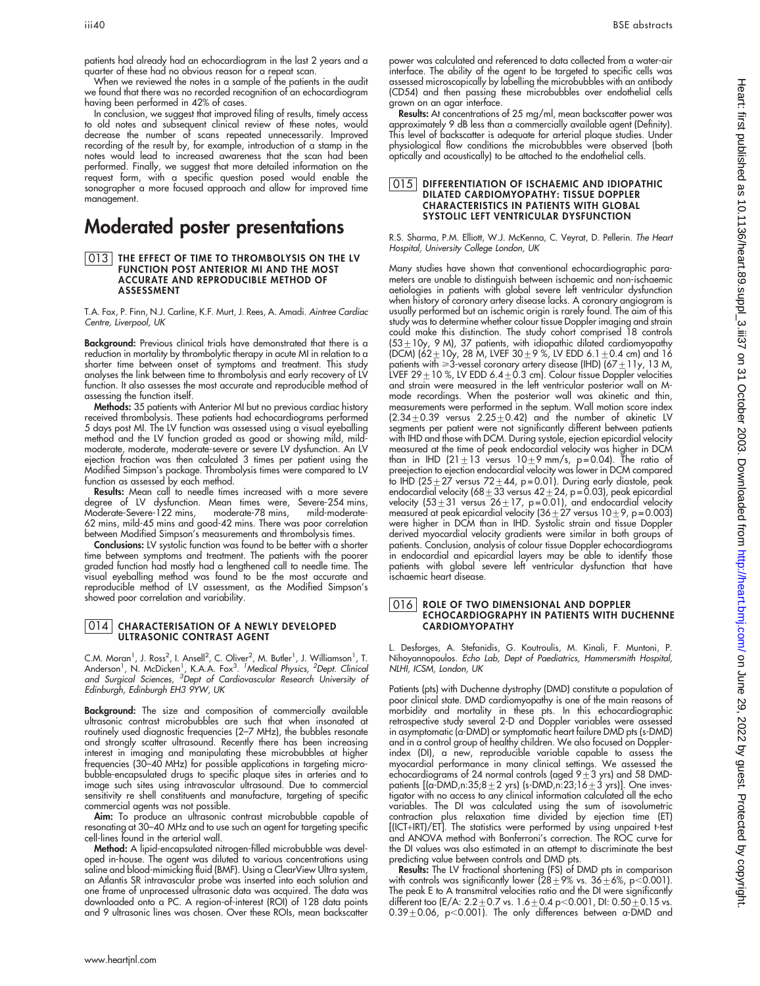patients had already had an echocardiogram in the last 2 years and a quarter of these had no obvious reason for a repeat scan.

When we reviewed the notes in a sample of the patients in the audit we found that there was no recorded recognition of an echocardiogram having been performed in 42% of cases.

In conclusion, we suggest that improved filing of results, timely access to old notes and subsequent clinical review of these notes, would decrease the number of scans repeated unnecessarily. Improved recording of the result by, for example, introduction of a stamp in the notes would lead to increased awareness that the scan had been performed. Finally, we suggest that more detailed information on the request form, with a specific question posed would enable the sonographer a more focused approach and allow for improved time management.

## Moderated poster presentations

#### 013 THE EFFECT OF TIME TO THROMBOLYSIS ON THE LV FUNCTION POST ANTERIOR MI AND THE MOST ACCURATE AND REPRODUCIBLE METHOD OF ASSESSMENT

T.A. Fox, P. Finn, N.J. Carline, K.F. Murt, J. Rees, A. Amadi. Aintree Cardiac Centre, Liverpool, UK

Background: Previous clinical trials have demonstrated that there is a reduction in mortality by thrombolytic therapy in acute MI in relation to a shorter time between onset of symptoms and treatment. This study analyses the link between time to thrombolysis and early recovery of LV function. It also assesses the most accurate and reproducible method of assessing the function itself.

Methods: 35 patients with Anterior MI but no previous cardiac history received thrombolysis. These patients had echocardiograms performed 5 days post MI. The LV function was assessed using a visual eyeballing method and the LV function graded as good or showing mild, mildmoderate, moderate, moderate-severe or severe LV dysfunction. An LV ejection fraction was then calculated 3 times per patient using the Modified Simpson's package. Thrombolysis times were compared to LV function as assessed by each method.

Results: Mean call to needle times increased with a more severe degree of LV dysfunction. Mean times were, Severe-254 mins, Moderate-Severe-122 mins, moderate-78 mins, mild-moderate-62 mins, mild-45 mins and good-42 mins. There was poor correlation between Modified Simpson's measurements and thrombolysis times.

Conclusions: LV systolic function was found to be better with a shorter time between symptoms and treatment. The patients with the poorer graded function had mostly had a lengthened call to needle time. The visual eyeballing method was found to be the most accurate and reproducible method of LV assessment, as the Modified Simpson's showed poor correlation and variability.

#### 014 CHARACTERISATION OF A NEWLY DEVELOPED ULTRASONIC CONTRAST AGENT

C.M. Moran<sup>1</sup>, J. Ross<sup>2</sup>, I. Ansell<sup>2</sup>, C. Oliver<sup>2</sup>, M. Butler<sup>1</sup>, J. Williamson<sup>1</sup>, T.<br>Anderson<sup>1</sup>, N. McDicken<sup>1</sup>, K.A.A. Fox<sup>3</sup>. <sup>7</sup>Medical Physics, <sup>2</sup>Dept. Clinicai<br>and Surgical Sciences, <sup>3</sup>Dept of Cardiovascular R Edinburgh, Edinburgh EH3 9YW, UK

**Background:** The size and composition of commercially available ultrasonic contrast microbubbles are such that when insonated at routinely used diagnostic frequencies (2–7 MHz), the bubbles resonate and strongly scatter ultrasound. Recently there has been increasing interest in imaging and manipulating these microbubbles at higher frequencies (30–40 MHz) for possible applications in targeting microbubble-encapsulated drugs to specific plaque sites in arteries and to image such sites using intravascular ultrasound. Due to commercial sensitivity re shell constituents and manufacture, targeting of specific commercial agents was not possible.

Aim: To produce an ultrasonic contrast microbubble capable of resonating at 30–40 MHz and to use such an agent for targeting specific cell-lines found in the arterial wall.

**Method:** A lipid-encapsulated nitrogen-filled microbubble was developed in-house. The agent was diluted to various concentrations using saline and blood-mimicking fluid (BMF). Using a ClearView Ultra system, an Atlantis SR intravascular probe was inserted into each solution and one frame of unprocessed ultrasonic data was acquired. The data was downloaded onto a PC. A region-of-interest (ROI) of 128 data points and 9 ultrasonic lines was chosen. Over these ROIs, mean backscatter

power was calculated and referenced to data collected from a water-air interface. The ability of the agent to be targeted to specific cells was assessed microscopically by labelling the microbubbles with an antibody (CD54) and then passing these microbubbles over endothelial cells grown on an agar interface.

Results: At concentrations of 25 mg/ml, mean backscatter power was approximately 9 dB less than a commercially available agent (Definity). This level of backscatter is adequate for arterial plaque studies. Under physiological flow conditions the microbubbles were observed (both optically and acoustically) to be attached to the endothelial cells.

#### **015** DIFFERENTIATION OF ISCHAEMIC AND IDIOPATHIC DILATED CARDIOMYOPATHY: TISSUE DOPPLER CHARACTERISTICS IN PATIENTS WITH GLOBAL SYSTOLIC LEFT VENTRICULAR DYSFUNCTION

R.S. Sharma, P.M. Elliott, W.J. McKenna, C. Veyrat, D. Pellerin. The Heart Hospital, University College London, UK

Many studies have shown that conventional echocardiographic parameters are unable to distinguish between ischaemic and non-ischaemic aetiologies in patients with global severe left ventricular dysfunction when history of coronary artery disease lacks. A coronary angiogram is usually performed but an ischemic origin is rarely found. The aim of this study was to determine whether colour tissue Doppler imaging and strain could make this distinction. The study cohort comprised 18 controls (53 $\pm$ 10y, 9 M), 37 patients, with idiopathic dilated cardiomyopathy (DCM) (62 $\pm$ 10y, 28 M, LVEF 30 $\pm$ 9 %, LV EDD 6.1 $\pm$ 0.4 cm) and 16 patients with  $\geq 3$ -vessel coronary artery disease (IHD) (67  $\pm$  11y, 13 M, LVEF 29 $\pm$  10 %, LV EDD 6.4 $\pm$ 0.3 cm). Colour tissue Doppler velocities and strain were measured in the left ventricular posterior wall on Mmode recordings. When the posterior wall was akinetic and thin, measurements were pertormed in the septum. Wall motion score index<br>(2.34±0.39 versus 2.25±0.42) and the number of akinetic LV segments per patient were not significantly different between patients with IHD and those with DCM. During systole, ejection epicardial velocity measured at the time of peak endocardial velocity was higher in DCM than in IHD (21 $\pm$ 13 versus 10 $\pm$ 9 mm/s, p=0.04). The ratio of preejection to ejection endocardial velocity was lower in DCM compared to IHD (25 $\pm$ 27 versus 72 $\pm$ 44, p=0.01). During early diastole, peak endocardial velocity (68  $\pm$  33 versus 42  $\pm$  24, p = 0.03), peak epicardial velocity  $(53 \pm 31 \text{ versus } 26 \pm 17, \text{ p = } 0.01)$ , and endocardial velocity measured at peak epicardial velocity (36 $\pm 27$  versus 10 $\pm$ 9, p=0.003) were higher in DCM than in IHD. Systolic strain and tissue Doppler derived myocardial velocity gradients were similar in both groups of patients. Conclusion, analysis of colour tissue Doppler echocardiograms in endocardial and epicardial layers may be able to identify those patients with global severe left ventricular dysfunction that have ischaemic heart disease.

#### 016 ROLE OF TWO DIMENSIONAL AND DOPPLER ECHOCARDIOGRAPHY IN PATIENTS WITH DUCHENNE CARDIOMYOPATHY

L. Desforges, A. Stefanidis, G. Koutroulis, M. Kinali, F. Muntoni, P. Nihoyannopoulos. Echo Lab, Dept of Paediatrics, Hammersmith Hospital, NLHI, ICSM, London, UK

Patients (pts) with Duchenne dystrophy (DMD) constitute a population of poor clinical state. DMD cardiomyopathy is one of the main reasons of morbidity and mortality in these pts. In this echocardiographic retrospective study several 2-D and Doppler variables were assessed in asymptomatic (a-DMD) or symptomatic heart failure DMD pts (s-DMD) and in a control group of healthy children. We also focused on Dopplerindex (DI), a new, reproducible variable capable to assess the myocardial performance in many clinical settings. We assessed the<br>echocardiograms of 24 normal controls (aged 9±3 yrs) and 58 DMDpatients [(a-DMD,n:35;8 $\pm$ 2 yrs) (s-DMD,n:23;16 $\pm$ 3 yrs)]. One investigator with no access to any clinical information calculated all the echo variables. The DI was calculated using the sum of isovolumetric contraction plus relaxation time divided by ejection time (ET) [(ICT+IRT)/ET]. The statistics were performed by using unpaired t-test and ANOVA method with Bonferroni's correction. The ROC curve for the DI values was also estimated in an attempt to discriminate the best predicting value between controls and DMD pts.

Results: The LV fractional shortening (FS) of DMD pts in comparison with controls was significantly lower (28 $\pm$ 9% vs. 36 $\pm$ 6%, p<0.001). The peak E to A transmitral velocities ratio and the DI were significantly<br>different too (E/A: 2.2±0.7 vs. 1.6±0.4 p<0.001, DI: 0.50±0.15 vs.  $0.39 \pm 0.06$ , p<0.001). The only differences between a-DMD and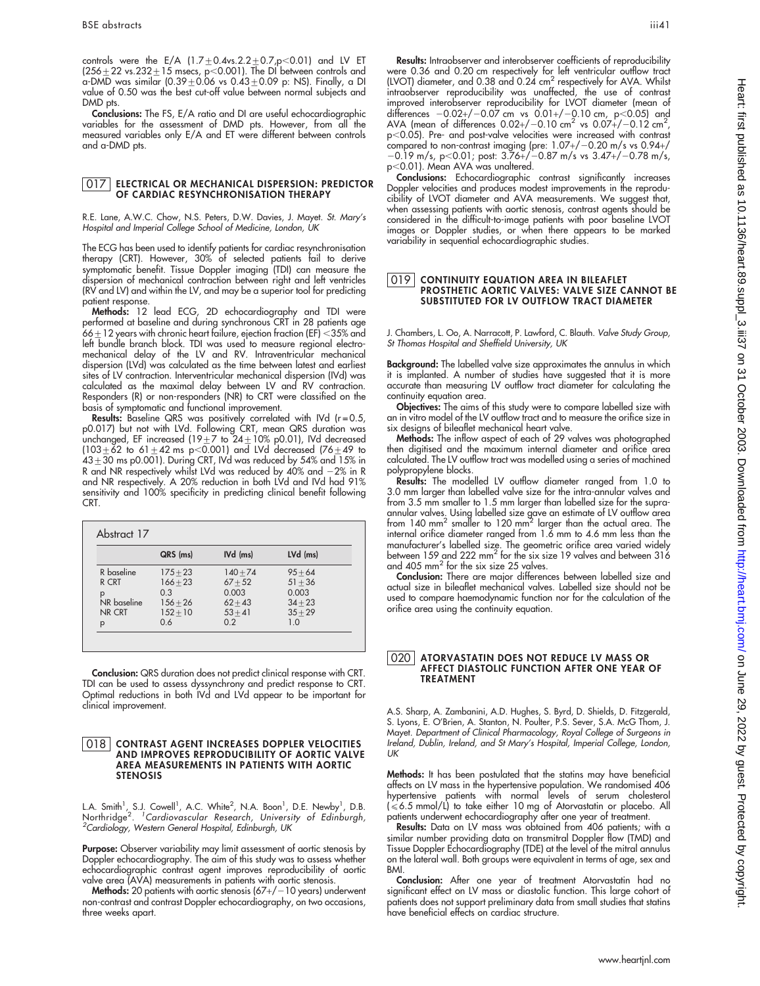controls were the E/A  $(1.7 \pm 0.4$ vs. $2.2 \pm 0.7$ ,p<0.01) and LV ET (256 $\pm$ 22 vs.232 $\pm$ 15 msecs, p $<$ 0.001). The DI between controls and a-DMD was similar (0.39 $\pm$ 0.06 vs 0.43 $\pm$ 0.09 p: NS). Finally, a DI value of 0.50 was the best cut-off value between normal subjects and DMD pts.

Conclusions: The FS, E/A ratio and DI are useful echocardiographic variables for the assessment of DMD pts. However, from all the measured variables only E/A and ET were different between controls and a-DMD pts.

#### 017 ELECTRICAL OR MECHANICAL DISPERSION: PREDICTOR OF CARDIAC RESYNCHRONISATION THERAPY

R.E. Lane, A.W.C. Chow, N.S. Peters, D.W. Davies, J. Mayet. St. Mary's Hospital and Imperial College School of Medicine, London, UK

The ECG has been used to identify patients for cardiac resynchronisation therapy (CRT). However, 30% of selected patients fail to derive symptomatic benefit. Tissue Doppler imaging (TDI) can measure the dispersion of mechanical contraction between right and left ventricles (RV and LV) and within the LV, and may be a superior tool for predicting patient response.

Methods: 12 lead ECG, 2D echocardiography and TDI were pertormed at baseline and during synchronous CRT in 28 patients age<br>66±12 years with chronic heart failure, ejection fraction (EF) <35% and left bundle branch block. TDI was used to measure regional electromechanical delay of the LV and RV. Intraventricular mechanical dispersion (LVd) was calculated as the time between latest and earliest sites of LV contraction. Interventricular mechanical dispersion (IVd) was calculated as the maximal delay between LV and RV contraction. Responders (R) or non-responders (NR) to CRT were classified on the basis of symptomatic and functional improvement.

**Results:** Baseline QRS was positively correlated with IVd (r=0.5, p0.017) but not with LVd. Following CRT, mean QRS duration was<br>unchanged, EF increased (19±7 to 24±10% p0.01), IVd decreased (103 $\pm$ 62 to 61 $\pm$ 42 ms p<0.001) and LVd decreased (76 $\pm$ 49 to  $43\pm30$  ms p0.001). During CRT, IVd was reduced by 54% and 15% in R and NR respectively whilst LVd was reduced by 40% and  $-2\%$  in R and NR respectively. A 20% reduction in both LVd and IVd had 91% sensitivity and 100% specificity in predicting clinical benefit following CRT.

|              | QRS (ms)   | IVd (ms)   | LVd (ms)  |
|--------------|------------|------------|-----------|
| R baseline   | $175 + 23$ | $140 + 74$ | $95 + 64$ |
| R CRT        | $166 + 23$ | $67 + 52$  | $51 + 36$ |
| р            | 0.3        | 0.003      | 0.003     |
| NR baseline  | $156 + 26$ | $62 + 43$  | $34 + 23$ |
| NR CRT       | $152 + 10$ | $53 + 41$  | $35 + 29$ |
| $\mathsf{p}$ | 0.6        | 0.2        | 1.0       |

Conclusion: QRS duration does not predict clinical response with CRT. TDI can be used to assess dyssynchrony and predict response to CRT. Optimal reductions in both IVd and LVd appear to be important for clinical improvement.

#### 018 CONTRAST AGENT INCREASES DOPPLER VELOCITIES AND IMPROVES REPRODUCIBILITY OF AORTIC VALVE AREA MEASUREMENTS IN PATIENTS WITH AORTIC STENOSIS

L.A. Smith<sup>1</sup>, S.J. Cowell<sup>1</sup>, A.C. White<sup>2</sup>, N.A. Boon<sup>1</sup>, D.E. Newby<sup>1</sup>, D.B.<br>Northridge<sup>2. 1</sup>Cardiovascular Research, University of Edinburgh,<br><sup>2</sup>Cardiology Western General Hespital Edinburgh UK <sup>2</sup>Cardiology, Western General Hospital, Edinburgh, UK

**Purpose:** Observer variability may limit assessment of aortic stenosis by Doppler echocardiography. The aim of this study was to assess whether echocardiographic contrast agent improves reproducibility of aortic valve area (AVA) measurements in patients with aortic stenosis.

Methods: 20 patients with aortic stenosis  $(67+/-10$  years) underwent non-contrast and contrast Doppler echocardiography, on two occasions, three weeks apart.

Results: Intraobserver and interobserver coefficients of reproducibility were 0.36 and 0.20 cm respectively tor lett ventricular outflow tract<br>(LVOT) diameter, and 0.38 and 0.24 cm<sup>2</sup> respectively for AVA. Whilst intraobserver reproducibility was unaffected, the use of contrast improved interobserver reproducibility for LVOT diameter (mean of ditterences -0.02+/-0.07 cm vs 0.01+/-0.10 cm, p<0.05) and<br>AVA (mean of differences 0.02+/-0.10 cm<sup>2</sup> vs 0.07+/-0.12 cm<sup>2</sup>, p<0.05). Pre- and post-valve velocities were increased with contrast compared to non-contrast imaging (pre:  $1.07+/-0.20$  m/s vs  $0.94+/$  $-0.19$  m/s, p $<$ 0.01; post: 3.76+/ $-0.87$  m/s vs 3.47+/ $-0.78$  m/s, p<0.01). Mean AVA was unaltered.

Conclusions: Echocardiographic contrast significantly increases Doppler velocities and produces modest improvements in the reproducibility of LVOT diameter and AVA measurements. We suggest that, when assessing patients with aortic stenosis, contrast agents should be considered in the difficult-to-image patients with poor baseline LVOT images or Doppler studies, or when there appears to be marked variability in sequential echocardiographic studies.

#### 019 CONTINUITY EQUATION AREA IN BILEAFLET PROSTHETIC AORTIC VALVES: VALVE SIZE CANNOT BE SUBSTITUTED FOR LV OUTFLOW TRACT DIAMETER

J. Chambers, L. Oo, A. Narracott, P. Lawford, C. Blauth. Valve Study Group, St Thomas Hospital and Sheffield University, UK

Background: The labelled valve size approximates the annulus in which it is implanted. A number of studies have suggested that it is more accurate than measuring LV outflow tract diameter for calculating the continuity equation area.

Objectives: The aims of this study were to compare labelled size with an in vitro model of the LV outflow tract and to measure the orifice size in six designs of bileaflet mechanical heart valve.

Methods: The inflow aspect of each of 29 valves was photographed then digitised and the maximum internal diameter and orifice area calculated. The LV outflow tract was modelled using a series of machined polypropylene blocks.

Results: The modelled LV outflow diameter ranged from 1.0 to 3.0 mm larger than labelled valve size for the intra-annular valves and from 3.5 mm smaller to 1.5 mm larger than labelled size for the supraannular valves. Using labelled size gave an estimate of LV outflow arec<br>from 140 mm<sup>2</sup> smaller to 120 mm<sup>2</sup> larger than the actual area. The internal orifice diameter ranged from 1.6 mm to 4.6 mm less than the manufacturer's labelled size. The geometric orifice area varied widely between 159 and 222 mm2 for the six size 19 valves and between 316 and 405 mm<sup>2</sup> for the six size 25 valves.

Conclusion: There are major differences between labelled size and actual size in bileaflet mechanical valves. Labelled size should not be used to compare haemodynamic function nor for the calculation of the orifice area using the continuity equation.

#### 020 ATORVASTATIN DOES NOT REDUCE LV MASS OR AFFECT DIASTOLIC FUNCTION AFTER ONE YEAR OF TREATMENT

A.S. Sharp, A. Zambanini, A.D. Hughes, S. Byrd, D. Shields, D. Fitzgerald, S. Lyons, E. O'Brien, A. Stanton, N. Poulter, P.S. Sever, S.A. McG Thom, J. Mayet. Department of Clinical Pharmacology, Royal College of Surgeons in Ireland, Dublin, Ireland, and St Mary's Hospital, Imperial College, London, UK

Methods: It has been postulated that the statins may have beneficial affects on LV mass in the hypertensive population. We randomised 406 hypertensive patients with normal levels of serum cholesterol<br>(≤6.5 mmol/L) to take either 10 mg of Atorvastatin or placebo. All patients underwent echocardiography after one year of treatment.

Results: Data on LV mass was obtained from 406 patients; with a similar number providing data on transmitral Doppler flow (TMD) and Tissue Doppler Echocardiography (TDE) at the level of the mitral annulus on the lateral wall. Both groups were equivalent in terms of age, sex and BMI.

Conclusion: After one year of treatment Atorvastatin had no significant effect on LV mass or diastolic function. This large cohort of patients does not support preliminary data from small studies that statins have beneficial effects on cardiac structure.